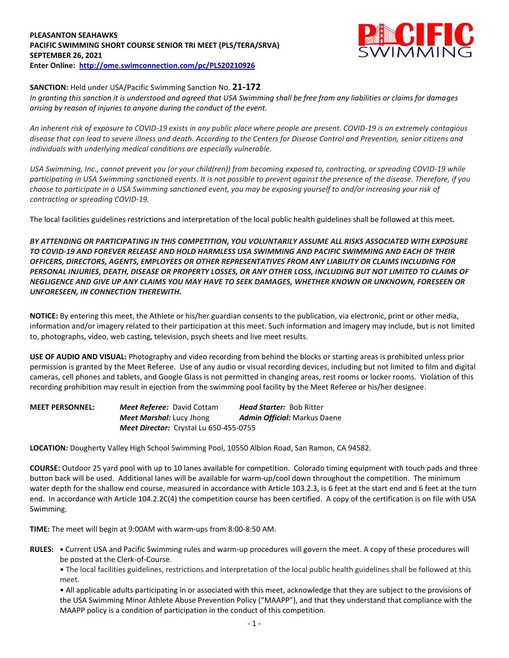## **PLEASANTON SEAHAWKS PACIFIC SWIMMING SHORT COURSE SENIOR TRI MEET (PLS/TERA/SRVA) SEPTEMBER 26, 2021 Enter Online: <http://ome.swimconnection.com/pc/PLS20210926>**



## **SANCTION:** Held under USA/Pacific Swimming Sanction No. **21-172**

*In granting this sanction it is understood and agreed that USA Swimming shall be free from any liabilities or claims for damages arising by reason of injuries to anyone during the conduct of the event.* 

*An inherent risk of exposure to COVID-19 exists in any public place where people are present. COVID-19 is an extremely contagious disease that can lead to severe illness and death. According to the Centers for Disease Control and Prevention, senior citizens and individuals with underlying medical conditions are especially vulnerable.*

*USA Swimming, Inc., cannot prevent you (or your child(ren)) from becoming exposed to, contracting, or spreading COVID-19 while participating in USA Swimming sanctioned events. It is not possible to prevent against the presence of the disease. Therefore, if you choose to participate in a USA Swimming sanctioned event, you may be exposing yourself to and/or increasing your risk of contracting or spreading COVID-19.*

The local facilities guidelines restrictions and interpretation of the local public health guidelines shall be followed at this meet.

*BY ATTENDING OR PARTICIPATING IN THIS COMPETITION, YOU VOLUNTARILY ASSUME ALL RISKS ASSOCIATED WITH EXPOSURE TO COVID-19 AND FOREVER RELEASE AND HOLD HARMLESS USA SWIMMING AND PACIFIC SWIMMING AND EACH OF THEIR OFFICERS, DIRECTORS, AGENTS, EMPLOYEES OR OTHER REPRESENTATIVES FROM ANY LIABILITY OR CLAIMS INCLUDING FOR PERSONAL INJURIES, DEATH, DISEASE OR PROPERTY LOSSES, OR ANY OTHER LOSS, INCLUDING BUT NOT LIMITED TO CLAIMS OF NEGLIGENCE AND GIVE UP ANY CLAIMS YOU MAY HAVE TO SEEK DAMAGES, WHETHER KNOWN OR UNKNOWN, FORESEEN OR UNFORESEEN, IN CONNECTION THEREWITH.*

**NOTICE:** By entering this meet, the Athlete or his/her guardian consents to the publication, via electronic, print or other media, information and/or imagery related to their participation at this meet. Such information and imagery may include, but is not limited to, photographs, video, web casting, television, psych sheets and live meet results.

**USE OF AUDIO AND VISUAL:** Photography and video recording from behind the blocks or starting areas is prohibited unless prior permission is granted by the Meet Referee. Use of any audio or visual recording devices, including but not limited to film and digital cameras, cell phones and tablets, and Google Glass is not permitted in changing areas, rest rooms or locker rooms. Violation of this recording prohibition may result in ejection from the swimming pool facility by the Meet Referee or his/her designee.

**MEET PERSONNEL:** *Meet Referee:* David Cottam *Head Starter:* Bob Ritter *Meet Marshal:* Lucy Jhong *Admin Official:* Markus Daene *Meet Director:* Crystal Lu 650-455-0755

**LOCATION:** Dougherty Valley High School Swimming Pool, 10550 Albion Road, San Ramon, CA 94582.

**COURSE:** Outdoor 25 yard pool with up to 10 lanes available for competition. Colorado timing equipment with touch pads and three button back will be used. Additional lanes will be available for warm-up/cool down throughout the competition. The minimum water depth for the shallow end course, measured in accordance with Article 103.2.3, is 6 feet at the start end and 6 feet at the turn end. In accordance with Article 104.2.2C(4) the competition course has been certified. A copy of the certification is on file with USA Swimming.

**TIME:** The meet will begin at 9:00AM with warm-ups from 8:00-8:50 AM.

**RULES: •** Current USA and Pacific Swimming rules and warm-up procedures will govern the meet. A copy of these procedures will be posted at the Clerk-of-Course.

• The local facilities guidelines, restrictions and interpretation of the local public health guidelines shall be followed at this meet.

• All applicable adults participating in or associated with this meet, acknowledge that they are subject to the provisions of the USA Swimming Minor Athlete Abuse Prevention Policy ("MAAPP"), and that they understand that compliance with the MAAPP policy is a condition of participation in the conduct of this competition.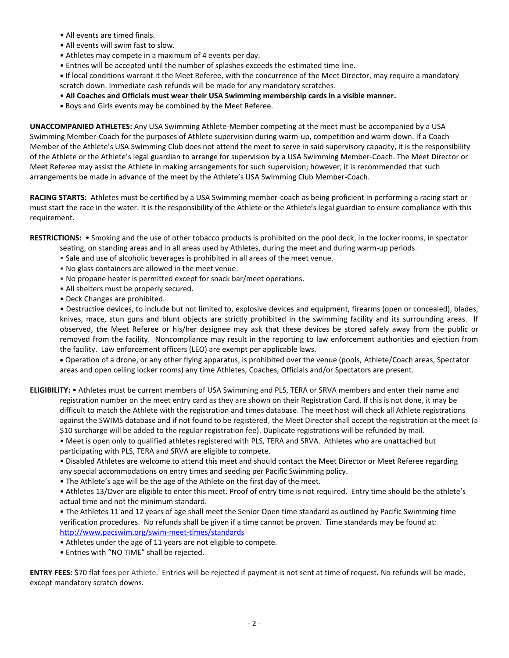- All events are timed finals.
- All events will swim fast to slow.
- Athletes may compete in a maximum of 4 events per day.
- Entries will be accepted until the number of splashes exceeds the estimated time line.

**•** If local conditions warrant it the Meet Referee, with the concurrence of the Meet Director, may require a mandatory scratch down. Immediate cash refunds will be made for any mandatory scratches.

- **All Coaches and Officials must wear their USA Swimming membership cards in a visible manner.**
- **•** Boys and Girls events may be combined by the Meet Referee.

**UNACCOMPANIED ATHLETES:** Any USA Swimming Athlete-Member competing at the meet must be accompanied by a USA Swimming Member-Coach for the purposes of Athlete supervision during warm-up, competition and warm-down. If a Coach-Member of the Athlete's USA Swimming Club does not attend the meet to serve in said supervisory capacity, it is the responsibility of the Athlete or the Athlete's legal guardian to arrange for supervision by a USA Swimming Member-Coach. The Meet Director or Meet Referee may assist the Athlete in making arrangements for such supervision; however, it is recommended that such arrangements be made in advance of the meet by the Athlete's USA Swimming Club Member-Coach.

**RACING STARTS:** Athletes must be certified by a USA Swimming member-coach as being proficient in performing a racing start or must start the race in the water. It is the responsibility of the Athlete or the Athlete's legal guardian to ensure compliance with this requirement.

**RESTRICTIONS:** • Smoking and the use of other tobacco products is prohibited on the pool deck, in the locker rooms, in spectator

- seating, on standing areas and in all areas used by Athletes, during the meet and during warm-up periods.
- Sale and use of alcoholic beverages is prohibited in all areas of the meet venue.
- No glass containers are allowed in the meet venue.
- No propane heater is permitted except for snack bar/meet operations.
- All shelters must be properly secured.
- Deck Changes are prohibited.

• Destructive devices, to include but not limited to, explosive devices and equipment, firearms (open or concealed), blades, knives, mace, stun guns and blunt objects are strictly prohibited in the swimming facility and its surrounding areas. If observed, the Meet Referee or his/her designee may ask that these devices be stored safely away from the public or removed from the facility. Noncompliance may result in the reporting to law enforcement authorities and ejection from the facility. Law enforcement officers (LEO) are exempt per applicable laws.

 Operation of a drone, or any other flying apparatus, is prohibited over the venue (pools, Athlete/Coach areas, Spectator areas and open ceiling locker rooms) any time Athletes, Coaches, Officials and/or Spectators are present.

**ELIGIBILITY:** • Athletes must be current members of USA Swimming and PLS, TERA or SRVA members and enter their name and registration number on the meet entry card as they are shown on their Registration Card. If this is not done, it may be difficult to match the Athlete with the registration and times database. The meet host will check all Athlete registrations against the SWIMS database and if not found to be registered, the Meet Director shall accept the registration at the meet (a \$10 surcharge will be added to the regular registration fee). Duplicate registrations will be refunded by mail.

• Meet is open only to qualified athletes registered with PLS, TERA and SRVA. Athletes who are unattached but participating with PLS, TERA and SRVA are eligible to compete.

• Disabled Athletes are welcome to attend this meet and should contact the Meet Director or Meet Referee regarding any special accommodations on entry times and seeding per Pacific Swimming policy.

• The Athlete's age will be the age of the Athlete on the first day of the meet.

• Athletes 13/Over are eligible to enter this meet. Proof of entry time is not required. Entry time should be the athlete's actual time and not the minimum standard.

• The Athletes 11 and 12 years of age shall meet the Senior Open time standard as outlined by Pacific Swimming time verification procedures. No refunds shall be given if a time cannot be proven. Time standards may be found at: <http://www.pacswim.org/swim-meet-times/standards>

• Athletes under the age of 11 years are not eligible to compete.

• Entries with "NO TIME" shall be rejected.

**ENTRY FEES:** \$70 flat fees per Athlete. Entries will be rejected if payment is not sent at time of request. No refunds will be made, except mandatory scratch downs.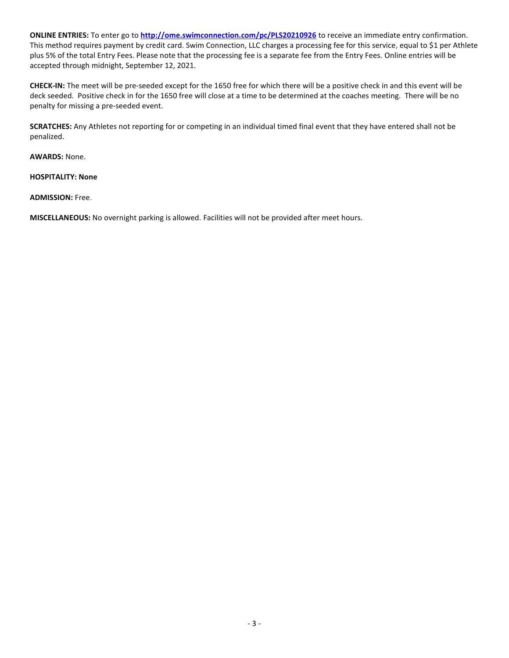**ONLINE ENTRIES:** To enter go to **<http://ome.swimconnection.com/pc/PLS20210926>** to receive an immediate entry confirmation. This method requires payment by credit card. Swim Connection, LLC charges a processing fee for this service, equal to \$1 per Athlete plus 5% of the total Entry Fees. Please note that the processing fee is a separate fee from the Entry Fees. Online entries will be accepted through midnight, September 12, 2021.

**CHECK-IN:** The meet will be pre-seeded except for the 1650 free for which there will be a positive check in and this event will be deck seeded. Positive check in for the 1650 free will close at a time to be determined at the coaches meeting. There will be no penalty for missing a pre-seeded event.

**SCRATCHES:** Any Athletes not reporting for or competing in an individual timed final event that they have entered shall not be penalized.

**AWARDS:** None.

**HOSPITALITY: None**

**ADMISSION:** Free.

**MISCELLANEOUS:** No overnight parking is allowed. Facilities will not be provided after meet hours.